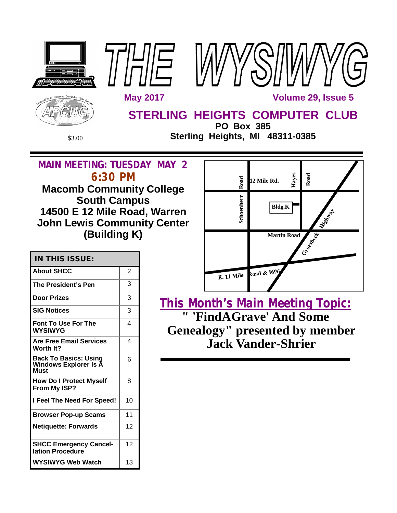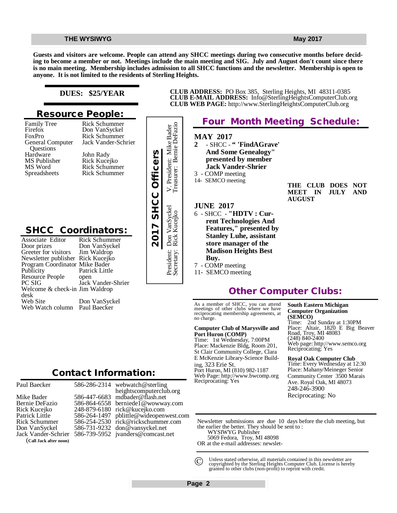**Guests and visitors are welcome. People can attend any SHCC meetings during two consecutive months before deciding to become a member or not. Meetings include the main meeting and SIG. July and August don't count since there is no main meeting. Membership includes admission to all SHCC functions and the newsletter. Membership is open to anyone. It is not limited to the residents of Sterling Heights.**

### **DUES: \$25/YEAR**

## **Resource People:**

Family Tree Firefox FoxPro General Computer Questions Hardware MS Publisher MS Word Spreadsheets

Rick Schummer Jack Vander-Schrier John Rady Rick Kucejko Rick Schummer Rick Schummer

Rick Schummer Don VanSyckel

# **SHCC Coordinators:**

| Questions<br>Hardware<br>MS Publisher<br>MS Word<br>Spreadsheets                                                                                                                                                                                                                | John Rady<br>Rick Kucejko<br><b>Rick Schummer</b><br><b>Rick Schummer</b>                                                      | 2017 SHCC Officers |
|---------------------------------------------------------------------------------------------------------------------------------------------------------------------------------------------------------------------------------------------------------------------------------|--------------------------------------------------------------------------------------------------------------------------------|--------------------|
| <b>SHCC Coordinators:</b><br>Associate Editor<br>Door prizes<br>Greeter for visitors<br>Newsletter publisher Rick Kucejko<br>Program Coordinator Mike Bader<br>Publicity<br>Resource People<br>PC SIG<br>Welcome & check-in Jim Waldrop<br>desk<br>Web Site<br>Web Watch column | Rick Schummer<br>Don VanSyckel<br>Jim Waldrop<br>Patrick Little<br>open<br>Jack Vander-Shrier<br>Don VanSyckel<br>Paul Baecker |                    |
|                                                                                                                                                                                                                                                                                 | <b>Contact Information:</b>                                                                                                    |                    |

Paul Baecker Mike Bader Bernie DeFazio Rick Kucejko Patrick Little Rick Schummer Don VanSyckel Jack Vander-Schrier (**Call Jack after noon)**

586-286-2314 586-447-6683 586-864-6558 248-879-6180 [rick@kucejko.com](mailto:rick@kucejko.com) 586-264-1497 [pblittle@wideopenwest.com](mailto:pblittle@wideopenwest.com) 586-254-2530 [rick@rickschummer.com](mailto:rick@rickschummer.com) 586-731-9232 [don@vansyckel.net](mailto:don@vansyckel.net) 586-739-5952 [jvanders@comcast.net](mailto:jvanders@comcast.net) webwatch@sterling heightscomputerclub.org [mdbader@flash.net](mailto:mdbader@flash.net) [berniede1@wowway.com](mailto:berniede1@wowway.com)



**CLUB ADDRESS:** PO Box 385, Sterling Heights, MI 48311-0385 **CLUB E-MAIL ADDRESS:** [Info@SterlingHeightsComputerClub.org](mailto:Info@SterlingHeightsComputerClub.org) **CLUB WEB PAGE:** <http://www.SterlingHeightsComputerClub.org>

# **Other Computer Clubs:**

As a member of SHCC, you can attend meetings of other clubs where we have reciprocating membership agreements, at no charge.

#### **Computer Club of Marysville and Port Huron (COMP)**

Time: 1st Wednesday, 7:00PM Place: Mackenzie Bldg, Room 201, St Clair Community College, Clara E McKenzie Library-Science Building, 323 Erie St. Port Huron, MI (810) 982-1187 Web Page:<http://www.bwcomp.org> Reciprocating: Yes

**South Eastern Michigan Computer Organization (SEMCO)**

Time: 2nd Sunday at 1:30PM Place: Altair, 1820 E Big Beaver Road, Troy, MI 48083 (248) 840-2400 Web page: <http://www.semco.org> Reciprocating: Yes

**Royal Oak Computer Club** Time: Every Wednesday at 12:30 Place: Mahany/Meineger Senior Community Center 3500 Marais Ave. Royal Oak, MI 48073 248-246-3900 Reciprocating: No

Newsletter submissions are due 10 days before the club meeting, but the earlier the better. They should be sent to :

WYSIWYG Publisher

5069 Fedora, Troy, MI 48098

OR at the e-mail addresses: newslet-

Unless stated otherwise, all materials contained in this newsletter are copyrighted by the Sterling Heights Computer Club. License is hereby granted to other clubs (non-profit) to reprint with credit.  $\odot$ 

**Page 2**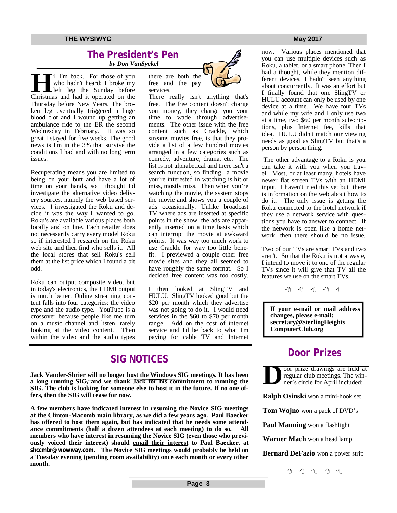### **The President's Pen**   *by Don VanSyckel*

**Hermannian**<br>
Left leg the Sunday before<br>
Christmas and had it operated on the i, I'm back. For those of you who hadn't heard; I broke my left leg the Sunday before Thursday before New Years. The broken leg eventually triggered a huge blood clot and I wound up getting an ambulance ride to the ER the second Wednesday in February. It was so great I stayed for five weeks. The good news is I'm in the 3% that survive the conditions I had and with no long term issues.

Recuperating means you are limited to being on your butt and have a lot of time on your hands, so I thought I'd investigate the alternative video delivery sources, namely the web based services. I investigated the Roku and decide it was the way I wanted to go. Roku's are available various places both locally and on line. Each retailer does not necessarily carry every model Roku so if interested I research on the Roku web site and then find who sells it. All the local stores that sell Roku's sell them at the list price which I found a bit odd.

Roku can output composite video, but in today's electronics, the HDMI output is much better. Online streaming content falls into four categories: the video type and the audio type. YouTube is a crossover because people like me turn on a music channel and listen, rarely looking at the video content. Then within the video and the audio types

there are both the free and the pay services.



There really isn't anything that's free. The free content doesn't charge you money, they charge you your time to wade through advertisements. The other issue with the free content such as Crackle, which streams movies free, is that they provide a list of a few hundred movies arranged in a few categories such as comedy, adventure, drama, etc. The list is not alphabetical and there isn't a search function, so finding a movie you're interested in watching is hit or miss, mostly miss. Then when you're watching the movie, the system stops the movie and shows you a couple of ads occasionally. Unlike broadcast TV where ads are inserted at specific points in the show, the ads are apparently inserted on a time basis which can interrupt the movie at awkward points. It was way too much work to use Crackle for way too little benefit. I previewed a couple other free movie sites and they all seemed to have roughly the same format. So I decided free content was too costly.

I then looked at SlingTV and HULU. SlingTV looked good but the \$20 per month which they advertise was not going to do it. I would need services in the \$60 to \$70 per month range. Add on the cost of internet service and I'd be back to what I'm paying for cable TV and Internet

# **SIG NOTICES**

**Jack Vander-Shrier will no longer host the Windows SIG meetings. It has been a long running SIG, and we thank Jack for his commitment to running the SIG. The club is looking for someone else to host it in the future. If no one offers, then the SIG will cease for now.**

**A few members have indicated interest in resuming the Novice SIG meetings at the Clinton-Macomb main library, as we did a few years ago. Paul Baecker has offered to host them again, but has indicated that he needs some attendance commitments (half a dozen attendees at each meeting) to do so. All members who have interest in resuming the Novice SIG (even those who previously voiced their interest) should email their interest to Paul Baecker, at [shccmbr@wowway.com](mailto:shccmbr@wowway.com). The Novice SIG meetings would probably be held on a Tuesday evening (pending room availability) once each month or every other month.**

now. Various places mentioned that you can use multiple devices such as Roku, a tablet, or a smart phone. Then I had a thought, while they mention different devices, I hadn't seen anything about concurrently. It was an effort but I finally found that one SlingTV or HULU account can only be used by one device at a time. We have four TVs and while my wife and I only use two at a time, two \$60 per month subscriptions, plus Internet fee, kills that idea. HULU didn't match our viewing needs as good as SlingTV but that's a person by person thing.

The other advantage to a Roku is you can take it with you when you travel. Most, or at least many, hotels have newer flat screen TVs with an HDMI input. I haven't tried this yet but there is information on the web about how to do it. The only issue is getting the Roku connected to the hotel network if they use a network service with questions you have to answer to connect. If the network is open like a home network, then there should be no issue.

Two of our TVs are smart TVs and two aren't. So that the Roku is not a waste, I intend to move it to one of the regular TVs since it will give that TV all the features we use on the smart TVs.

e e e e e

**If your e-mail or mail address changes, please e-mail: secretary@SterlingHeights ComputerClub.org**

# **Door Prizes**

**D** oor prize drawings are held at regular club meetings. The winner's circle for April included:

**Ralph Osinski** won a mini-hook set

**Tom Wojno** won a pack of DVD's

**Paul Manning** won a flashlight

**Warner Mach** won a head lamp

**Bernard DeFazio** won a power strip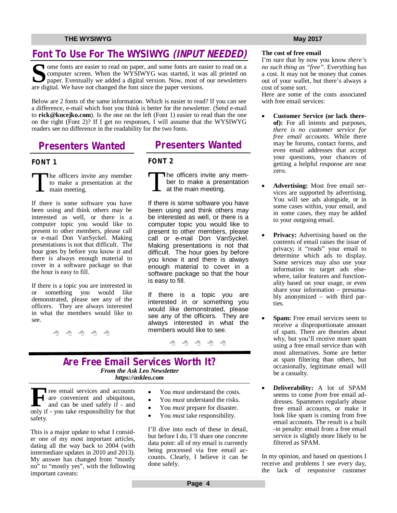# **Font To Use For The WYSIWYG** *(INPUT NEEDED)*

Some fonts are easier to read on paper, and some fonts are easier screen. When the WYSIWYG was started, it was paper. Eventually we added a digital version. Now, most of are digital. We have not changed the font since the T ome fonts are easier to read on paper, and some fonts are easier to read on a computer screen. When the WYSIWYG was started, it was all printed on paper. Eventually we added a digital version. Now, most of our newsletters

Below are 2 fonts of the same information. Which is easier to read? If you can see a difference, e-mail which font you think is better for the newsletter. (Send e-mail to **[rick@kucejko.com](mailto:rick@kucejko.com)**). Is the one on the left (Font 1) easier to read than the one on the right (Font 2)? If I get no responses, I will assume that the WYSIWYG readers see no difference in the readability for the two fonts.

# **Presenters Wanted**

### **FONT 1**

T he officers invite any member to make a presentation at the main meeting.

If there is some software you have been using and think others may be interested as well, or there is a computer topic you would like to present to other members, please call or e-mail Don VanSyckel. Making presentations is not that difficult. The hour goes by before you know it and there is always enough material to cover in a software package so that the hour is easy to fill.

If there is a topic you are interested in or something you would like demonstrated, please see any of the officers. They are always interested in what the members would like to see.

一个 一个

# **Presenters Wanted**

### **FONT 2**

T The officers invite any member to make a presentation at the main meeting.

If there is some software you have been using and think others may be interested as well, or there is a computer topic you would like to present to other members, please call or e-mail Don VanSyckel. Making presentations is not that difficult. The hour goes by before you know it and there is always enough material to cover in a software package so that the hour is easy to fill.

If there is a topic you are interested in or something you would like demonstrated, please see any of the officers. They are always interested in what the members would like to see.

A A A A A

# **Are Free Email Services Worth It?** *From the Ask Leo Newsletter*

*<https://askleo.com>*

**F** only if - you take responsibility for that ree email services and accounts are convenient and ubiquitous, and can be used safely if - and safety.

This is a major update to what I consider one of my most important articles, dating all the way back to 2004 (with intermediate updates in 2010 and 2013). My answer has changed from "mostly no" to "mostly yes", with the following important caveats:

- You *must* understand the costs.
- You *must* understand the risks.
- You *must* prepare for disaster.
- You *must* take responsibility.

I'll dive into each of these in detail, but before I do, I'll share one concrete data point: all of my email is currently being processed via free email accounts. Clearly, I believe it can be done safely.

## **The cost of free email**

I'm sure that by now you know *there's no such thing as "free".* Everything has a cost. It may not be money that comes out of your wallet, but there's always a cost of some sort.

Here are some of the costs associated with free email services:

- **Customer Service (or lack thereof):** For all intents and purposes, *there is no customer service for free email accounts*. While there may be forums, contact forms, and even email addresses that accept your questions, your chances of getting a helpful response are near zero.
- **Advertising:** Most free email services are supported by advertising. You will see ads alongside, or in some cases within, your email, and in some cases, they may be added to your outgoing email.
- **Privacy:** Advertising based on the contents of email raises the issue of privacy; it "reads" your email to determine which ads to display. Some services may also use your information to target ads elsewhere, tailor features and functionality based on your usage, or even share your information – presumably anonymized – with third parties.
- **Spam:** Free email services seem to receive a disproportionate amount of spam. There are theories about why, but you'll receive more spam using a free email service than with most alternatives. Some are better at spam filtering than others, but occasionally, legitimate email will be a casualty.
- **Deliverability:** A lot of SPAM seems to come *from* free email addresses. Spammers regularly abuse free email accounts, or make it look like spam is coming from free email accounts. The result is a built -in penalty: email from a free email service is slightly more likely to be filtered as SPAM.

In my opinion, and based on questions I receive and problems I see every day, the lack of responsive customer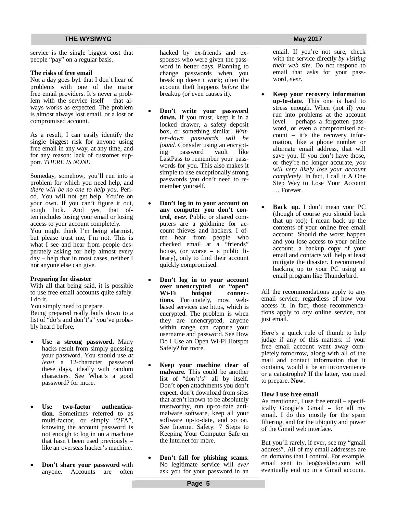service is the single biggest cost that people "pay" on a regular basis.

#### **The risks of free email**

Not a day goes by1 that I don't hear of problems with one of the major free email providers. It's never a problem with the service itself – that always works as expected. The problem is almost always lost email, or a lost or compromised account.

As a result, I can easily identify the single biggest risk for anyone using free email in any way, at any time, and for any reason: lack of customer support. *THERE IS NONE*.

Someday, somehow, you'll run into a problem for which you need help, and *there will be no one to help you*. Period. You will not get help. You're on your own. If you can't figure it out, tough luck. And yes, that often includes losing your email or losing access to your account completely. You might think I'm being alarmist, but please trust me, I'm not. This is what I see and hear from people desperately asking for help almost every day – help that in most cases, neither I nor anyone else can give.

#### **Preparing for disaster**

With all that being said, it is possible to use free email accounts quite safely. I do it.

You simply need to prepare.

Being prepared really boils down to a list of "do's and don't's" you've probably heard before.

- **Use a strong password.** Many hacks result from simply guessing your password. You should use *at least* a 12-character password these days, ideally with random characters. See What's a good password? for more.
- **Use two-factor authentication**. Sometimes referred to as multi-factor, or simply "2FA", knowing the account password is not enough to log in on a machine that hasn't been used previously – like an overseas hacker's machine.
- **Don't share your password** with anyone. Accounts are often

hacked by ex-friends and exspouses who were given the password in better days. Planning to change passwords when you break up doesn't work; often the account theft happens *before* the breakup (or even causes it).

- **Don't write your password down.** If you must, keep it in a locked drawer, a safety deposit box, or something similar. *Written-down passwords will be found.* Consider using an encrypting password vault like LastPass to remember your passwords for you. This also makes it simple to use exceptionally strong passwords you don't need to remember yourself.
- **Don't log in to your account on any computer you don't control,** *ever***.** Public or shared computers are a goldmine for account thieves and hackers. I often hear from people who checked email at a "friends" house, (or worse – a public library), only to find their account quickly compromised.
- **Don't log in to your account over unencrypted or "open"**  hotspot connec**tions.** Fortunately, most webbased services use https, which is encrypted. The problem is when they are unencrypted, anyone within range can capture your username and password. See How Do I Use an Open Wi-Fi Hotspot Safely? for more.
- **Keep your machine clear of malware.** This could be another list of "don't's" all by itself. Don't open attachments you don't expect, don't download from sites that aren't known to be absolutely trustworthy, run up-to-date antimalware software, keep all your software up-to-date, and so on. See Internet Safety: 7 Steps to Keeping Your Computer Safe on the Internet for more.
- **Don't fall for phishing scams.** No legitimate service will *ever* ask you for your password in an

email. If you're not sure, check with the service directly *by visiting their web site*. Do not respond to email that asks for your password, *ever*.

- **Keep your recovery information up-to-date.** This one is hard to stress enough. When (not if) you run into problems at the account level – perhaps a forgotten password, or even a compromised account – it's the recovery information, like a phone number or alternate email address, that will save you. If you don't have those, or they're no longer accurate, *you will very likely lose your account completely*. In fact, I call it A One Step Way to Lose Your Account … Forever.
- **Back up.** I don't mean your PC (though of course you should back that up too); I mean back up the contents of your online free email account. Should the worst happen and you lose access to your online account, a backup copy of your email and contacts will help at least mitigate the disaster. I recommend backing up to your PC using an email program like Thunderbird.

All the recommendations apply to any email service, regardless of how you access it. In fact, those recommendations apply to *any* online service, not just email.

Here's a quick rule of thumb to help judge if any of this matters: if your free email account went away completely tomorrow, along with all of the mail and contact information that it contains, would it be an inconvenience or a catastrophe? If the latter, you need to prepare. **Now**.

#### **How I use free email**

As mentioned, I use free email – specifically Google's Gmail – for all my email. I do this mostly for the spam filtering, and for the ubiquity and power of the Gmail web interface.

But you'll rarely, if ever, see my "gmail address". All of my email addresses are on domains that I control. For example, email sent to [leo@askleo.com](mailto:leo@askleo.com) will eventually end up in a Gmail account.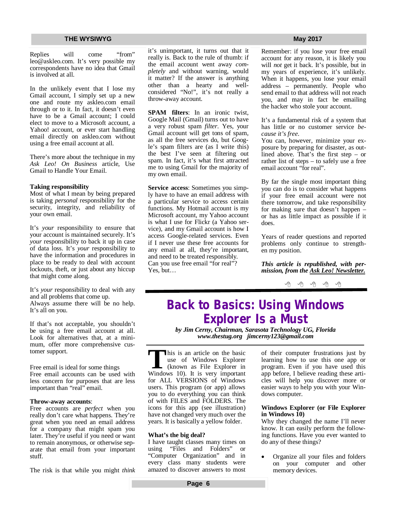Replies will come "from" [leo@askleo.com.](mailto:leo@askleo.com.) It's very possible my correspondents have no idea that Gmail is involved at all.

In the unlikely event that I lose my Gmail account, I simply set up a new one and route my askleo.com email through or to it. In fact, it doesn't even have to be a Gmail account; I could elect to move to a Microsoft account, a Yahoo! account, or ever start handling email directly on askleo.com without using a free email account at all.

There's more about the technique in my *Ask Leo! On Business* article, Use Gmail to Handle Your Email.

#### **Taking responsibility**

Most of what I mean by being prepared is taking *personal* responsibility for the security, integrity, and reliability of your own email.

It's *your* responsibility to ensure that your account is maintained securely. It's *your* responsibility to back it up in case of data loss. It's *your* responsibility to have the information and procedures in place to be ready to deal with account lockouts, theft, or just about any hiccup that might come along.

It's *your* responsibility to deal with any and all problems that come up. Always assume there will be no help. It's all on you.

If that's not acceptable, you shouldn't be using a free email account at all. Look for alternatives that, at a minimum, offer more comprehensive customer support.

Free email is ideal for some things Free email accounts can be used with less concern for purposes that are less important than "real" email.

#### **Throw-away accounts**:

Free accounts are *perfect* when you really don't care what happens. They're great when you need an email address for a company that might spam you later. They're useful if you need or want to remain anonymous, or otherwise separate that email from your important stuff.

The risk is that while you might *think*

it's unimportant, it turns out that it really is. Back to the rule of thumb: if the email account went away *completely* and without warning, would it matter? If the answer is anything other than a hearty and wellconsidered "No!", it's not really a throw-away account.

**SPAM filters**: In an ironic twist, Google Mail (Gmail) turns out to have a very robust spam *filter*. Yes, your Gmail account will get tons of spam, as all the free services do, but Google's spam filters are (as I write this) the best I've seen at filtering out spam. In fact, it's what first attracted me to using Gmail for the majority of my own email.

**Service access**: Sometimes you simply have to have an email address with a particular service to access certain functions. My Hotmail account is my Microsoft account, my Yahoo account is what I use for Flickr (a Yahoo service), and my Gmail account is how I access Google-related services. Even if I never use these free accounts for any email at all, they're important, and need to be treated responsibly. Can you use free email "for real"? Yes, but…

Remember: if you lose your free email account for any reason, it is likely you will *not* get it back. It's possible, but in my years of experience, it's unlikely. When it happens, you lose your email address – permanently. People who send email to that address will not reach you, and may in fact be emailing the hacker who stole your account.

It's a fundamental risk of a system that has little or no customer service *because it's free*.

You can, however, minimize your exposure by preparing for disaster, as outlined above. That's the first step – or rather list of steps – to safely use a free email account "for real".

By far the single most important thing you can do is to consider what happens if your free email account were not there tomorrow, and take responsibility for making sure that doesn't happen – or has as little impact as possible if it does.

Years of reader questions and reported problems only continue to strengthen my position.

*This article is republished, with permission, from the Ask Leo! Newsletter.* 

 $\oplus$   $\oplus$   $\oplus$   $\oplus$ 

# **Back to Basics: Using Windows Explorer Is a Must**

*by Jim Cerny, Chairman, Sarasota Technology UG, Florida [www.thestug.org](http://www.thestug.org) [jimcerny123@gmail.com](mailto:jimcerny123@gmail.com)*

**T**his is an article on the basic<br>
use of Windows Explorer<br>
(known as File Explorer in<br>
Windows 10). It is very important his is an article on the basic use of Windows Explorer (known as File Explorer in for ALL VERSIONS of Windows users. This program (or app) allows you to do everything you can think of with FILES and FOLDERS. The icons for this app (see illustration) have not changed very much over the years. It is basically a yellow folder.

#### **What's the big deal?**

I have taught classes many times on<br>using "Files and Folders" or "Files and Folders" or "Computer Organization" and in every class many students were amazed to discover answers to most

of their computer frustrations just by learning how to use this one app or program. Even if you have used this app before, I believe reading these articles will help you discover more or easier ways to help you with your Windows computer.

#### **Windows Explorer (or File Explorer in Windows 10)**

Why they changed the name I'll never know. It can easily perform the following functions. Have you ever wanted to do any of these things?

 Organize all your files and folders on your computer and other memory devices.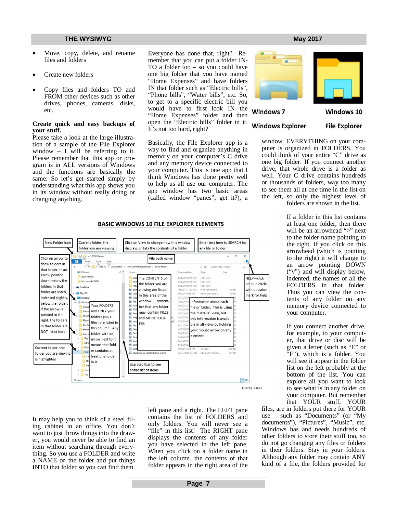- Move, copy, delete, and rename files and folders
- Create new folders
- Copy files and folders TO and FROM other devices such as other drives, phones, cameras, disks, etc.

#### **Create quick and easy backups of your stuff.**

Please take a look at the large illustration of a sample of the File Explorer window  $-$  I will be referring to it. Please remember that this app or program is in ALL versions of Windows and the functions are basically the same. So let's get started simply by understanding what this app shows you in its window without really doing or changing anything.

Everyone has done that, right? Remember that you can put a folder IN-TO a folder too – so you could have one big folder that you have named "Home Expenses" and have folders IN that folder such as "Electric bills", "Phone bills", "Water bills", etc. So, to get to a specific electric bill you would have to first look IN the "Home Expenses" folder and then open the "Electric bills" folder in it. It's not too hard, right?

Basically, the File Explorer app is a way to find and organize anything in memory on your computer's C drive and any memory device connected to your computer. This is one app that I think Windows has done pretty well to help us all use our computer. The app window has two basic areas (called window "panes", get it?), a



Windows 7

**Windows Explorer** 

# Windows 10

**File Explorer** 

window. EVERYTHING on your computer is organized in FOLDERS. You could think of your entire "C" drive as one big folder. If you connect another drive, that whole drive is a folder as well. Your C drive contains hundreds or thousands of folders, way too many to see them all at one time in the list on the left, so only the highest level of folders are shown in the list.

> If a folder in this list contains at least one folder, then there will be an arrowhead ">" next to the folder name pointing to the right. If you click on this arrowhead (which is pointing to the right) it will change to an arrow pointing DOWN ("v") and will display below, indented, the names of all the FOLDERS in that folder. Thus you can view the contents of any folder on any memory device connected to your computer.

If you connect another drive, for example, to your computer, that drive or disc will be given a letter (such as "E" or "F"), which is a folder. You will see it appear in the folder list on the left probably at the bottom of the list. You can explore all you want to look to see what is in any folder on your computer. But remember that YOUR stuff, YOUR

files, are in folders put there for YOUR use – such as "Documents" (or "My documents"), "Pictures", "Music", etc. Windows has and needs hundreds of other folders to store their stuff too, so do not go changing any files or folders in their folders. Stay in your folders. Although any folder may contain ANY kind of a file, the folders provided for





It may help you to think of a steel filing cabinet in an office. You don't want to just throw things into the drawer, you would never be able to find an item without searching through everything. So you use a FOLDER and write a NAME on the folder and put things INTO that folder so you can find them.

left pane and a right. The LEFT pane contains the list of FOLDERS and only folders. You will never see a "file" in this list! The RIGHT pane displays the contents of any folder you have selected in the left pane. When you click on a folder name in the left column, the contents of that folder appears in the right area of the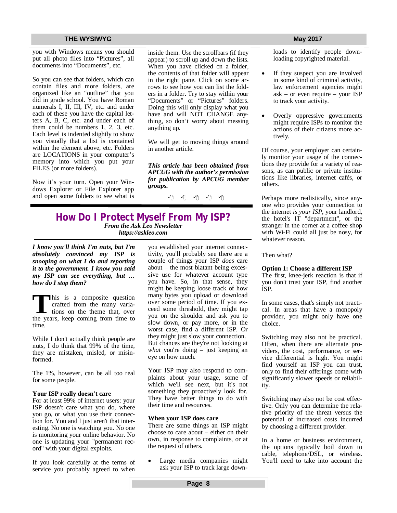you with Windows means you should put all photo files into "Pictures", all documents into "Documents", etc.

So you can see that folders, which can contain files and more folders, are organized like an "outline" that you did in grade school. You have Roman numerals I, II, III, IV, etc. and under each of these you have the capital letters A, B, C, etc. and under each of them could be numbers 1, 2, 3, etc. Each level is indented slightly to show you visually that a list is contained within the element above, etc. Folders are LOCATIONS in your computer's memory into which you put your FILES (or more folders).

Now it's your turn. Open your Windows Explorer or File Explorer app and open some folders to see what is inside them. Use the scrollbars (if they appear) to scroll up and down the lists. When you have clicked on a folder, the contents of that folder will appear in the right pane. Click on some arrows to see how you can list the folders in a folder. Try to stay within your "Documents" or "Pictures" folders. Doing this will only display what you have and will NOT CHANGE anything, so don't worry about messing anything up.

We will get to moving things around in another article.

*This article has been obtained from APCUG with the author's permission for publication by APCUG member groups.*

个 个 个 个

### **How Do I Protect Myself From My ISP?** *From the Ask Leo Newsletter <https://askleo.com>*

*I know you'll think I'm nuts, but I'm absolutely convinced my ISP is snooping on what I do and reporting it to the government. I know you said my ISP can see everything, but … how do I stop them?*

This is a composite question crafted from the many variations on the theme that, over the years, keep coming from time to his is a composite question crafted from the many variations on the theme that, over time.

While I don't actually think people are nuts, I do think that 99% of the time, they are mistaken, misled, or misinformed.

The 1%, however, can be all too real for some people.

#### **Your ISP really doesn't care**

For at least 99% of internet users: your ISP doesn't care what you do, where you go, or what you use their connection for. You and I just aren't that interesting. No one is watching you. No one is monitoring your online behavior. No one is updating your "permanent record" with your digital exploits.

If you look carefully at the terms of service you probably agreed to when

you established your internet connectivity, you'll probably see there are a couple of things your ISP *does* care about – the most blatant being excessive use for whatever account type you have. So, in that sense, they might be keeping loose track of how many bytes you upload or download over some period of time. If you exceed some threshold, they might tap you on the shoulder and ask you to slow down, or pay more, or in the worst case, find a different ISP. Or they might just slow your connection. But chances are they're not looking at *what* you're doing – just keeping an eye on how much.

Your ISP may also respond to complaints about your usage, some of which we'll see next, but it's not something they proactively look for. They have better things to do with their time and resources.

#### **When your ISP does care**

There are some things an ISP might choose to care about – either on their own, in response to complaints, or at the request of others.

 Large media companies might ask your ISP to track large down-

loads to identify people downloading copyrighted material.

- If they suspect you are involved in some kind of criminal activity, law enforcement agencies might ask – or even require – your ISP to track your activity.
- Overly oppressive governments might require ISPs to monitor the actions of their citizens more actively.

Of course, your employer can certainly monitor your usage of the connections they provide for a variety of reasons, as can public or private institutions like libraries, internet cafés, or others.

Perhaps more realistically, since anyone who provides your connection to the internet *is your ISP*, your landlord, the hotel's IT "department", or the stranger in the corner at a coffee shop with Wi-Fi could all just be nosy, for whatever reason.

Then what?

#### **Option 1: Choose a different ISP**

The first, knee-jerk reaction is that if you don't trust your ISP, find another ISP.

In some cases, that's simply not practical. In areas that have a monopoly provider, you might only have one choice.

Switching may also not be practical. Often, when there are alternate providers, the cost, performance, or service differential is high. You might find yourself an ISP you can trust, only to find their offerings come with significantly slower speeds or reliability.

Switching may also not be cost effective. Only you can determine the relative priority of the threat versus the potential of increased costs incurred by choosing a different provider.

In a home or business environment, the options typically boil down to cable, telephone/DSL, or wireless. You'll need to take into account the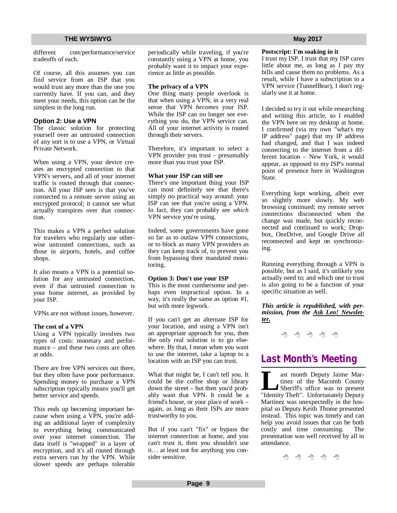different cost/performance/service tradeoffs of each.

Of course, all this assumes you can find service from an ISP that you would trust any more than the one you currently have. If you can, and they meet your needs, this option can be the simplest in the long run.

#### **Option 2: Use a VPN**

The classic solution for protecting yourself over an untrusted connection of any sort is to use a VPN, or Virtual Private Network.

When using a VPN, your device creates an encrypted connection to that VPN's servers, and all of your internet traffic is routed through that connection. All your ISP sees is that you've connected to a remote server using an encrypted protocol; it cannot see what actually transpires over that connection.

This makes a VPN a perfect solution for travelers who regularly use otherwise untrusted connections, such as those in airports, hotels, and coffee shops.

It also means a VPN is a potential solution for any untrusted connection, even if that untrusted connection is your home internet, as provided by your ISP.

VPNs are not without issues, however.

#### **The cost of a VPN**

Using a VPN typically involves two types of costs: monetary and performance – and these two costs are often at odds.

There are free VPN services out there, but they often have poor performance. Spending money to purchase a VPN subscription typically means you'll get better service and speeds.

This ends up becoming important because when using a VPN, you're adding an additional layer of complexity to everything being communicated over your internet connection. The data itself is "wrapped" in a layer of encryption, and it's all routed through extra servers run by the VPN. While slower speeds are perhaps tolerable

periodically while traveling, if you're constantly using a VPN at home, you probably want it to impact your experience as little as possible.

#### **The privacy of a VPN**

One thing many people overlook is that when using a VPN, in a very real sense that VPN *becomes* your ISP. While the ISP can no longer see everything you do, the VPN service can. All of your internet activity is routed through their servers.

Therefore, it's important to select a VPN provider you trust – presumably more than you trust your ISP.

#### **What your ISP can still see**

There's one important thing your ISP can most definitely see that there's simply no practical way around: your ISP can see that you're using a VPN. In fact, they can probably see *which* VPN service you're using.

Indeed, some governments have gone so far as to outlaw VPN connections, or to block as many VPN providers as they can keep track of, to prevent you from bypassing their mandated monitoring.

#### **Option 3: Don't use your ISP**

This is the most cumbersome and perhaps even impractical option. In a way, it's really the same as option #1, but with more legwork.

If you can't get an alternate ISP for your location, and using a VPN isn't an appropriate approach for you, then the only real solution is to go elsewhere. By that, I mean when you want to use the internet, take a laptop to a location with an ISP you can trust.

What that might be, I can't tell you. It could be the coffee shop or library down the street – but then you'd probably want that VPN. It could be a friend's house, or your place of work – again, as long as their ISPs are more trustworthy to you.

But if you can't "fix" or bypass the internet connection at home, and you can't trust it, then you shouldn't use it… at least not for anything you consider sensitive.

### **Postscript: I'm soaking in it**

I trust my ISP. I trust that my ISP cares little about me, as long as I pay my bills and cause them no problems. As a result, while I have a subscription to a VPN service (TunnelBear), I don't regularly use it at home.

I decided to try it out while researching and writing this article, so I enabled the VPN here on my desktop at home. I confirmed (via my own "what's my IP address" page) that my IP address had changed, and that I was indeed connecting to the internet from a different location – New York, it would appear, as opposed to my ISP's normal point of presence here in Washington State.

Everything kept working, albeit ever so slightly more slowly. My web browsing continued; my remote server connections disconnected when the change was made, but quickly reconnected and continued to work; Dropbox, OneDrive, and Google Drive all reconnected and kept on synchronizing.

Running everything through a VPN is possible, but as I said, it's unlikely you actually need to; and which one to trust is also going to be a function of your specific situation as well.

#### *This article is republished, with permission, from the Ask Leo! Newsletter.*

中 中 中 中 中

# **Last Month's Meeting**

**Let us a** month Deputy Jaime Martinez of the Macomb County Sheriff's office was to present "Identity Theft". Unfortunately Deputy ast month Deputy Jaime Martinez of the Macomb County Sheriff's office was to present Martinez was unexpectedly in the hospital so Deputy Keith Thome presented instead. This topic was timely and can help you avoid issues that can be both costly and time consuming. The presentation was well received by all in attendance.

西 伯 伯 伯 伯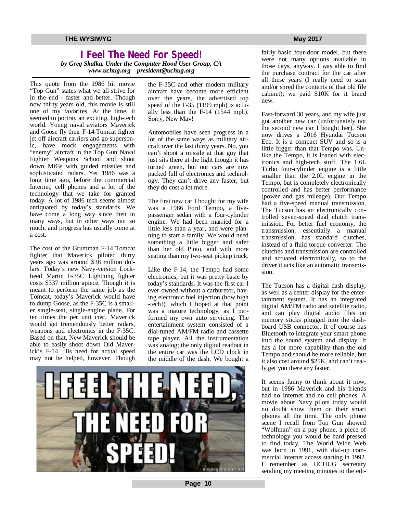# **I Feel The Need For Speed!**

*by Greg Skalka, Under the Computer Hood User Group, CA [www.uchug.org](http://www.uchug.org) [president@uchug.org](mailto:president@uchug.org)*

This quote from the 1986 hit movie "Top Gun" states what we all strive for in the end - faster and better. Though now thirty years old, this movie is still one of my favorites. At the time, it seemed to portray an exciting, high-tech world. Young naval aviators Maverick and Goose fly their F-14 Tomcat fighter jet off aircraft carriers and go supersonic, have mock engagements with "enemy" aircraft in the Top Gun Naval Fighter Weapons School and shoot down MiGs with guided missiles and sophisticated radars. Yet 1986 was a long time ago, before the commercial Internet, cell phones and a lot of the technology that we take for granted today. A lot of 1986 tech seems almost antiquated by today's standards. We have come a long way since then in many ways, but in other ways not so much, and progress has usually come at a cost.

The cost of the Grumman F-14 Tomcat fighter that Maverick piloted thirty years ago was around \$38 million dollars. Today's new Navy-version Lockheed Martin F-35C Lightning fighter costs \$337 million apiece. Though it is meant to perform the same job as the Tomcat, today's Maverick would have to dump Goose, as the F-35C is a smaller single-seat, single-engine plane. For ten times the per unit cost, Maverick would get tremendously better radars, weapons and electronics in the F-35C. Based on that, New Maverick should be able to easily shoot down Old Maverick's F-14. His need for actual speed may not be helped, however. Though the F-35C and other modern military aircraft have become more efficient over the years, the advertised top speed of the F-35 (1199 mph) is actually less than the F-14 (1544 mph). Sorry, New Mav!

Automobiles have seen progress in a lot of the same ways as military aircraft over the last thirty years. No, you can't shoot a missile at that guy that just sits there at the light though it has turned green, but our cars are now packed full of electronics and technology. They can't drive any faster, but they do cost a lot more.

The first new car I bought for my wife was a 1986 Ford Tempo, a fivepassenger sedan with a four-cylinder engine. We had been married for a little less than a year, and were planning to start a family. We would need something a little bigger and safer than her old Pinto, and with more seating than my two-seat pickup truck.

Like the F-14, the Tempo had some electronics, but it was pretty basic by today's standards. It was the first car I ever owned without a carburetor, having electronic fuel injection (how high -tech!), which I hoped at that point was a mature technology, as I performed my own auto servicing. The entertainment system consisted of a dial-tuned AM/FM radio and cassette tape player. All the instrumentation was analog; the only digital readout in the entire car was the LCD clock in the middle of the dash. We bought a



fairly basic four-door model, but there were not many options available in those days, anyway. I was able to find the purchase contract for the car after all these years (I really need to scan and/or shred the contents of that old file cabinet); we paid \$10K for it brand new.

Fast-forward 30 years, and my wife just got another new car (unfortunately not the second new car I bought her). She now drives a 2016 Hyundai Tucson Eco. It is a compact SUV and so is a little bigger than that Tempo was. Unlike the Tempo, it is loaded with electronics and high-tech stuff. The 1.6L Turbo four-cylinder engine is a little smaller than the 2.0L engine in the Tempo, but is completely electronically controlled and has better performance (power and gas mileage). Our Tempo had a five-speed manual transmission. The Tucson has an electronically controlled seven-speed dual clutch transmission. For better fuel economy, the transmission, essentially a manual transmission, has standard clutches, instead of a fluid torque converter. The clutches and transmission are controlled and actuated electronically, so to the driver it acts like an automatic transmission.

The Tucson has a digital dash display, as well as a center display for the entertainment system. It has an integrated digital AM/FM radio and satellite radio, and can play digital audio files on memory sticks plugged into the dashboard USB connector. It of course has Bluetooth to integrate your smart phone into the sound system and display. It has a lot more capability than the old Tempo and should be more reliable, but it also cost around \$25K, and can't really get you there any faster.

It seems funny to think about it now, but in 1986 Maverick and his friends had no Internet and no cell phones. A movie about Navy pilots today would no doubt show them on their smart phones all the time. The only phone scene I recall from Top Gun showed "Wolfman" on a pay phone, a piece of technology you would be hard pressed to find today. The World Wide Web was born in 1991, with dial-up commercial Internet access starting in 1992. I remember as UCHUG secretary sending my meeting minutes to the edi-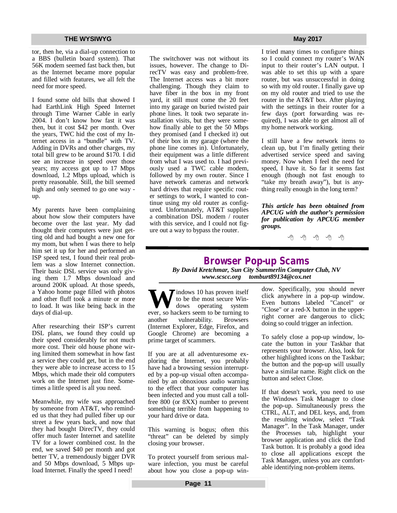tor, then he, via a dial-up connection to a BBS (bulletin board system). That 56K modem seemed fast back then, but as the Internet became more popular and filled with features, we all felt the need for more speed.

I found some old bills that showed I had EarthLink High Speed Internet through Time Warner Cable in early 2004. I don't know how fast it was then, but it cost \$42 per month. Over the years, TWC hid the cost of my Internet access in a "bundle" with TV. Adding in DVRs and other charges, my total bill grew to be around \$170. I did see an increase in speed over those years; my access got up to 17 Mbps download, 1.2 Mbps upload, which is pretty reasonable. Still, the bill seemed high and only seemed to go one way up.

My parents have been complaining about how slow their computers have become over the last year. My dad thought their computers were just getting old and had bought a new one for my mom, but when I was there to help him set it up for her and performed an ISP speed test, I found their real problem was a slow Internet connection. Their basic DSL service was only giving them 1.7 Mbps download and around 200K upload. At those speeds, a Yahoo home page filled with photos and other fluff took a minute or more to load. It was like being back in the days of dial-up.

After researching their ISP's current DSL plans, we found they could up their speed considerably for not much more cost. Their old house phone wiring limited them somewhat in how fast a service they could get, but in the end they were able to increase access to 15 Mbps, which made their old computers work on the Internet just fine. Sometimes a little speed is all you need.

Meanwhile, my wife was approached by someone from AT&T, who reminded us that they had pulled fiber up our street a few years back, and now that they had bought DirecTV, they could offer much faster Internet and satellite TV for a lower combined cost. In the end, we saved \$40 per month and got better TV, a tremendously bigger DVR and 50 Mbps download, 5 Mbps upload Internet. Finally the speed I need!

The switchover was not without its issues, however. The change to DirecTV was easy and problem-free. The Internet access was a bit more challenging. Though they claim to have fiber in the box in my front yard, it still must come the 20 feet into my garage on buried twisted pair phone lines. It took two separate installation visits, but they were somehow finally able to get the 50 Mbps they promised (and I checked it) out of their box in my garage (where the phone line comes in). Unfortunately, their equipment was a little different from what I was used to. I had previously used a TWC cable modem, followed by my own router. Since I have network cameras and network hard drives that require specific router settings to work, I wanted to continue using my old router as configured. Unfortunately, AT&T supplies a combination DSL modem / router with this service, and I could not figure out a way to bypass the router.

I tried many times to configure things so I could connect my router's WAN input to their router's LAN output. I was able to set this up with a spare router, but was unsuccessful in doing so with my old router. I finally gave up on my old router and tried to use the router in the AT&T box. After playing with the settings in their router for a few days (port forwarding was required), I was able to get almost all of my home network working.

I still have a few network items to clean up, but I'm finally getting their advertised service speed and saving money. Now when I feel the need for speed, I have it. So far it seems fast enough (though not fast enough to "take my breath away"), but is anything really enough in the long term?

*This article has been obtained from APCUG with the author's permission for publication by APCUG member groups.*

A A A A A

# **Browser Pop-up Scams**

*By David Kretchmar, Sun City Summerlin Computer Club, NV [www.scscc.org](http://www.scscc.org) [tomburt89134@cox.net](mailto:tomburt89134@cox.net)*

**W** indows 10 has proven itself<br>to be the most secure Win-<br>ever, so hackers seem to be turning to to be the most secure Win-<br>dows operating system operating system another vulnerability. Browsers (Internet Explorer, Edge, Firefox, and Google Chrome) are becoming a prime target of scammers.

If you are at all adventuresome exploring the Internet, you probably have had a browsing session interrupted by a pop-up visual often accompanied by an obnoxious audio warning to the effect that your computer has been infected and you must call a tollfree 800 (or 8XX) number to prevent something terrible from happening to your hard drive or data.

This warning is bogus; often this "threat" can be deleted by simply closing your browser.

To protect yourself from serious malware infection, you must be careful about how you close a pop-up win-

dow. Specifically, you should never click anywhere in a pop-up window. Even buttons labeled "Cancel" or "Close" or a red-X button in the upperright corner are dangerous to click; doing so could trigger an infection.

To safely close a pop-up window, locate the button in your Taskbar that represents your browser. Also, look for other highlighted icons on the Taskbar; the button and the pop-up will usually have a similar name. Right click on the button and select Close.

If that doesn't work, you need to use the Windows Task Manager to close the pop-up. Simultaneously press the CTRL, ALT, and DEL keys, and, from the resulting window, select "Task Manager". In the Task Manager, under the Processes tab, highlight your browser application and click the End Task button. It is probably a good idea to close all applications except the Task Manager, unless you are comfortable identifying non-problem items.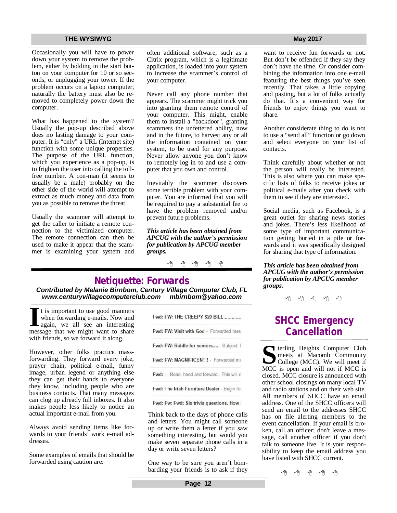Occasionally you will have to power down your system to remove the problem, either by holding in the start button on your computer for 10 or so seconds, or unplugging your tower. If the problem occurs on a laptop computer, naturally the battery must also be removed to completely power down the computer.

What has happened to the system? Usually the pop-up described above does no lasting damage to your computer. It is "only" a URL (Internet site) function with some unique properties. The purpose of the URL function, which you experience as a pop-up, is to frighten the user into calling the tollfree number. A con-man (it seems to usually be a male) probably on the other side of the world will attempt to extract as much money and data from you as possible to remove the threat.

Usually the scammer will attempt to get the caller to initiate a remote connection to the victimized computer. The remote connection can then be used to make it appear that the scammer is examining your system and often additional software, such as a Citrix program, which is a legitimate application, is loaded into your system to increase the scammer's control of your computer.

Never call any phone number that appears. The scammer might trick you into granting them remote control of your computer. This might, enable them to install a "backdoor", granting scammers the unfettered ability, now and in the future, to harvest any or all the information contained on your system, to be used for any purpose. Never allow anyone you don't know to remotely log in to and use a computer that you own and control.

Inevitably the scammer discovers some terrible problem with your computer. You are informed that you will be required to pay a substantial fee to have the problem removed and/or prevent future problems.

*This article has been obtained from APCUG with the author's permission for publication by APCUG member groups.*

西 西 西 西

# **Netiquette: Forwards**

*Contributed by Melanie Birnbom, Century Village Computer Club, FL [www.centuryvillagecomputerclub.com](http://www.centuryvillagecomputerclub.com) [mbirnbom@yahoo.com](mailto:mbirnbom@yahoo.com)*

If the is important to use good manners<br>when forwarding e-mails. Now and<br>again, we all see an interesting<br>message that we might want to share t is important to use good manners when forwarding e-mails. Now and again, we all see an interesting with friends, so we forward it along.

However, other folks practice massforwarding. They forward every joke, prayer chain, political e-mail, funny image, urban legend or anything else they can get their hands to everyone they know, including people who are business contacts. That many messages can clog up already full inboxes. It also makes people less likely to notice an actual important e-mail from you.

Always avoid sending items like forwards to your friends' work e-mail addresses.

Some examples of emails that should be forwarded using caution are:

Fwd: FW: THE CREEPY \$20 BILL............. Fwd: FW: Visit with God - Forwarded mes Fwd: FW: Riddle for seniors.... - Subject: I Fwd: FW: MAGNIFICENT!! - Forwarded me Fwd: -. Read, heed and forward.. This will c Fwd: The Irish Furniture Dealer - Begin fo

Fwd: Fw: Fwd: Six trivia questions. How

Think back to the days of phone calls and letters. You might call someone up or write them a letter if you saw something interesting, but would you make seven separate phone calls in a day or write seven letters?

One way to be sure you aren't bombarding your friends is to ask if they

want to receive fun forwards or not. But don't be offended if they say they don't have the time. Or consider combining the information into one e-mail featuring the best things you've seen recently. That takes a little copying and pasting, but a lot of folks actually do that. It's a convenient way for friends to enjoy things you want to share.

Another considerate thing to do is not to use a "send all" function or go down and select everyone on your list of contacts.

Think carefully about whether or not the person will really be interested. This is also where you can make specific lists of folks to receive jokes or political e-mails after you check with them to see if they are interested.

Social media, such as Facebook, is a great outlet for sharing news stories and jokes. There's less likelihood of some type of important communication getting buried in a pile or forwards and it was specifically designed for sharing that type of information.

*This article has been obtained from APCUG with the author's permission for publication by APCUG member groups.*

一个 一个 一个

# **SHCC Emergency Cancellation**

**S** MCC is open and will not if MCC is **Terling Heights Computer Club** meets at Macomb Community College (MCC). We will meet if closed. MCC closure is announced with other school closings on many local TV and radio stations and on their web site. All members of SHCC have an email address. One of the SHCC officers will send an email to the addresses SHCC has on file alerting members to the event cancellation. If your email is broken, call an officer; don't leave a message, call another officer if you don't talk to someone live. It is your responsibility to keep the email address you have listed with SHCC current.

中 丹 伯 伯 伯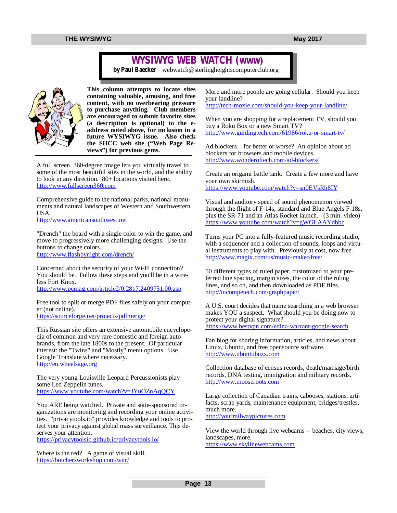# **WYSIWYG WEB WATCH (www)**

*by Paul Baecker* [webwatch@sterlingheightscomputerclub.org](mailto:webwatch@sterlingheightscomputerclub.org)



**This column attempts to locate sites containing valuable, amusing, and free content, with no overbearing pressure to purchase anything. Club members are encouraged to submit favorite sites (a description is optional) to the eaddress noted above, for inclusion in a future WYSIWYG issue. Also check the SHCC web site ("Web Page Reviews") for previous gems.** 

A full screen, 360-degree image lets you virtually travel to some of the most beautiful sites in the world, and the ability to look in any direction. 80+ locations visited here. <http://www.fullscreen360.com>

Comprehensive guide to the national parks, national monuments and natural landscapes of Western and Southwestern USA.

<http://www.americansouthwest.net>

"Drench" the board with a single color to win the game, and move to progressively more challenging designs. Use the buttons to change colors. <http://www.flashbynight.com/drench/>

Concerned about the security of your Wi-Fi connection? You should be. Follow these steps and you'll be in a wireless Fort Knox. <http://www.pcmag.com/article2/0,2817,2409751,00.asp>

Free tool to split or merge PDF files safely on your computer (not online).

<https://sourceforge.net/projects/pdfmerge/>

This Russian site offers an extensive automobile encyclopedia of common and very rare domestic and foreign auto brands, from the late 1800s to the present. Of particular interest: the "Twins" and "Mostly" menu options. Use Google Translate where necessary. <http://en.wheelsage.org>

The very young Louisville Leopard Percussionists play some Led Zeppelin tunes. <https://www.youtube.com/watch?v=JYuOZnAqQCY>

You ARE being watched. Private and state-sponsored organizations are monitoring and recording your online activities. "privacytools.io" provides knowledge and tools to protect your privacy against global mass surveillance. This deserves your attention.

<https://privacytoolsio.github.io/privacytools.io/>

Where is the red? A game of visual skill. <https://butchersworkshop.com/witr/>

More and more people are going cellular. Should you keep your landline?

<http://tech-moxie.com/should-you-keep-your-landline/>

When you are shopping for a replacement TV, should you buy a Roku Box or a new Smart TV? <http://www.guidingtech.com/61986/roku-or-smart-tv/>

Ad blockers – for better or worse? An opinion about ad blockers for browsers and mobile devices. <http://www.wonderoftech.com/ad-blockers/>

Create an origami battle tank. Create a few more and have your own skirmish. <https://www.youtube.com/watch?v=sn0EVsRh8IY>

Visual and auditory speed of sound phenomenon viewed through the flight of F-14s, standard and Blue Angels F-18s, plus the SR-71 and an Atlas Rocket launch. (3 min. video) <https://www.youtube.com/watch?v=gWGLAAYdbbc>

Turns your PC into a fully-featured music recording studio, with a sequencer and a collection of sounds, loops and virtual instruments to play with. Previously at cost, now free. <http://www.magix.com/us/music-maker/free/>

50 different types of ruled paper, customized to your preferred line spacing, margin sizes, the color of the ruling lines, and so on, and then downloaded as PDF files. <http://incompetech.com/graphpaper/>

A U.S. court decides that name searching in a web browser makes YOU a suspect. What should you be doing now to protect your digital signature? <https://www.bestvpn.com/edina-warrant-google-search>

Fan blog for sharing information, articles, and news about Linux, Ubuntu, and free opensource software. <http://www.ubuntubuzz.com>

Collection database of census records, death/marriage/birth records, DNA testing, immigration and military records. <http://www.mooseroots.com>

Large collection of Canadian trains, cabooses, stations, artifacts, scrap yards, maintenance equipment, bridges/trestles, much more. <http://yourrailwaypictures.com>

View the world through live webcams -- beaches, city views, landscapes, more. <https://www.skylinewebcams.com>